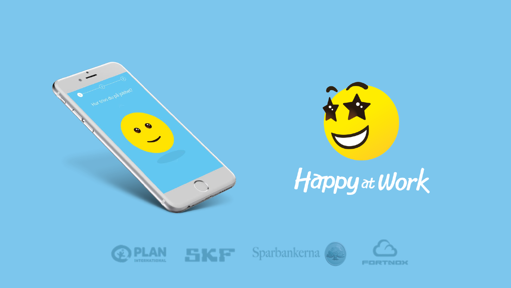



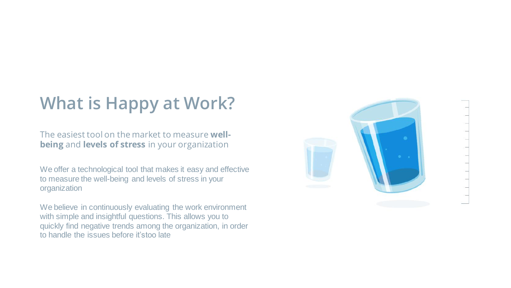# **What is Happy at Work?**

The easiest tool on the market to measure **wellbeing** and **levels of stress** in your organization

We offer a technological tool that makes it easy and effective to measure the well-being and levels of stress in your organization

We believe in continuously evaluating the work environment with simple and insightful questions. This allows you to quickly find negative trends among the organization, in order to handle the issues before it'stoo late

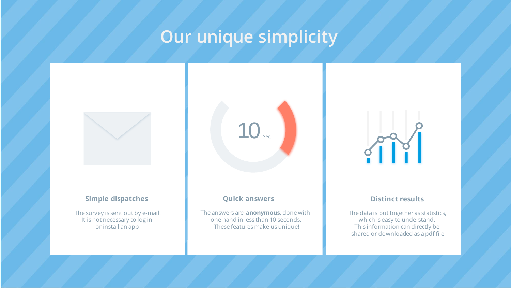## **Our unique simplicity**



#### **Simple dispatches Distinct results Quick answers Distinct results**

The survey is sent out by e-mail. It is not necessary to log in or install an app

 $10<sub>se</sub>$ 

The answers are **anonymous**, done with one hand in less than 10 seconds. These features make us unique!



The data is put together as statistics, which is easy to understand. This information can directly be shared or downloaded as a pdf file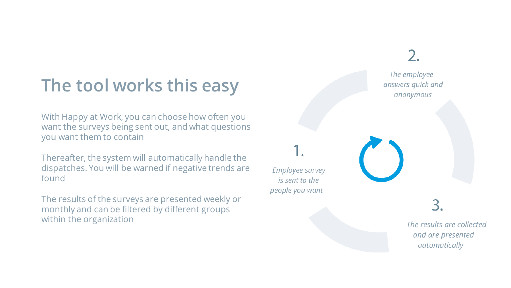# **The tool works this easy**

With Happy at Work, you can choose how often you want the surveys being sent out, and what questions you want them to contain

Thereafter, the system will automatically handle the dispatches. You will be warned if negative trends are found

The results of the surveys are presented weekly or monthly and can be filtered by different groups within the organization



The results are collected and are presented automatically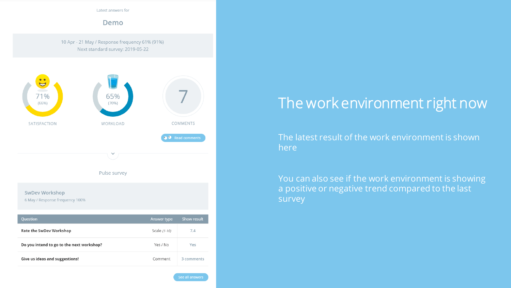Latest answers for

Demo

10 Apr - 21 May / Response frequency 61% (91%) Next standard survey: 2019-05-22



### The work environment right now

The latest result of the work environment is shown here

You can also see if the work environment is showing a positive or negative trend compared to the last survey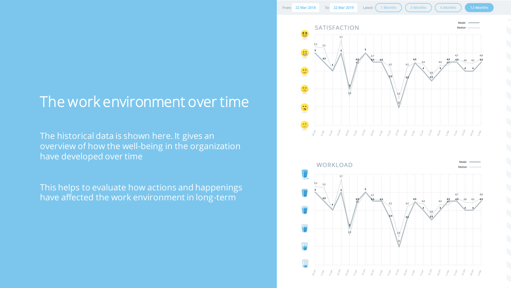### The work environment over time

The historical data is shown here. It gives an overview of how the well-being in the organization have developed over time

This helps to evaluate how actions and happenings have affected the work environment in long-term



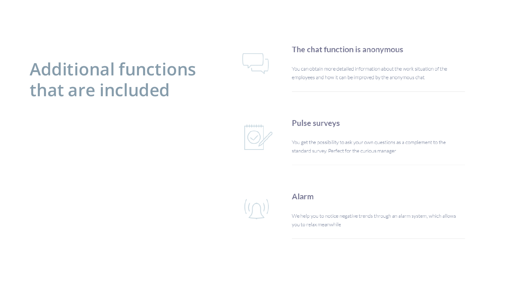# **Additional functions** that are included



#### The chat function is anonymous

You can obtain more detailed information about the work situation of the employees and how it can be improved by the anonymous chat



### Pulse surveys

You get the possibility to ask your own questions as a complement to the standard survey. Perfect for the curious manager



### Alarm

We help you to notice negative trends through an alarm system, which allows you to relax meanwhile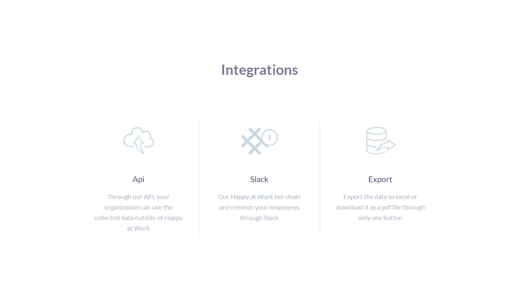### **Integrations**



Api

Through our API, your organization can use the collected data outside of Happy at Work



Slack

Our Happy at Work bot chats and reminds your employees through Slack



### Export

Export the data to excel or download it as a pdf file through only one button